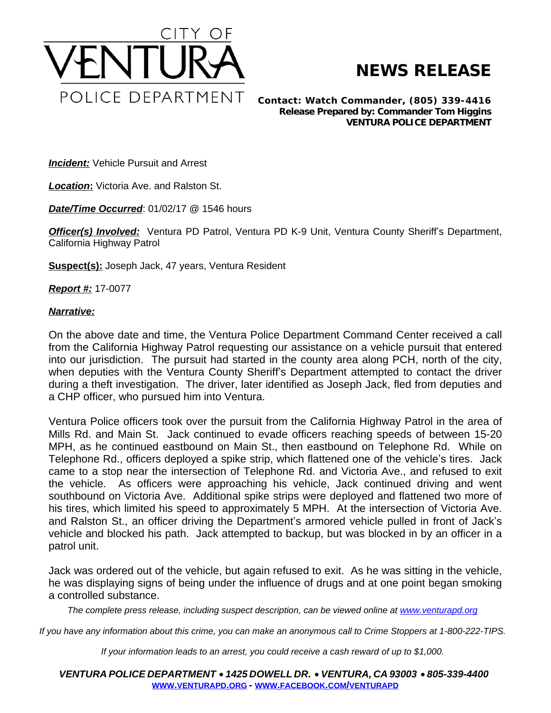

## **NEWS RELEASE**

*Contact: Watch Commander, (805) 339-4416 Release Prepared by: Commander Tom Higgins* **VENTURA POLICE DEPARTMENT**

**Incident:** Vehicle Pursuit and Arrest

*Location***:** Victoria Ave. and Ralston St.

*Date/Time Occurred*: 01/02/17 @ 1546 hours

**Officer(s) Involved:** Ventura PD Patrol, Ventura PD K-9 Unit, Ventura County Sheriff's Department, California Highway Patrol

**Suspect(s):** Joseph Jack, 47 years, Ventura Resident

*Report #:* 17-0077

## *Narrative:*

On the above date and time, the Ventura Police Department Command Center received a call from the California Highway Patrol requesting our assistance on a vehicle pursuit that entered into our jurisdiction. The pursuit had started in the county area along PCH, north of the city, when deputies with the Ventura County Sheriff's Department attempted to contact the driver during a theft investigation. The driver, later identified as Joseph Jack, fled from deputies and a CHP officer, who pursued him into Ventura.

Ventura Police officers took over the pursuit from the California Highway Patrol in the area of Mills Rd. and Main St. Jack continued to evade officers reaching speeds of between 15-20 MPH, as he continued eastbound on Main St., then eastbound on Telephone Rd. While on Telephone Rd., officers deployed a spike strip, which flattened one of the vehicle's tires. Jack came to a stop near the intersection of Telephone Rd. and Victoria Ave., and refused to exit the vehicle. As officers were approaching his vehicle, Jack continued driving and went southbound on Victoria Ave. Additional spike strips were deployed and flattened two more of his tires, which limited his speed to approximately 5 MPH. At the intersection of Victoria Ave. and Ralston St., an officer driving the Department's armored vehicle pulled in front of Jack's vehicle and blocked his path. Jack attempted to backup, but was blocked in by an officer in a patrol unit.

Jack was ordered out of the vehicle, but again refused to exit. As he was sitting in the vehicle, he was displaying signs of being under the influence of drugs and at one point began smoking a controlled substance.

The complete press release, including suspect description, can be viewed online at [www.venturapd.org](http://www.venturapd.org)

*If you have any information about this crime, you can make an anonymous call to Crime Stoppers at 1-800-222-TIPS.*

*If your information leads to an arrest, you could receive a cash reward of up to \$1,000.*

*VENTURA POLICE DEPARTMENT* · *1425 DOWELL DR.* · *VENTURA, CA 93003* · *805-339-4400* **WWW.[VENTURAPD](http://www.venturapd.org).ORG** *-* **WWW.FACEBOOK.COM/[VENTURAPD](http://www.facebook.com/venturapd)**